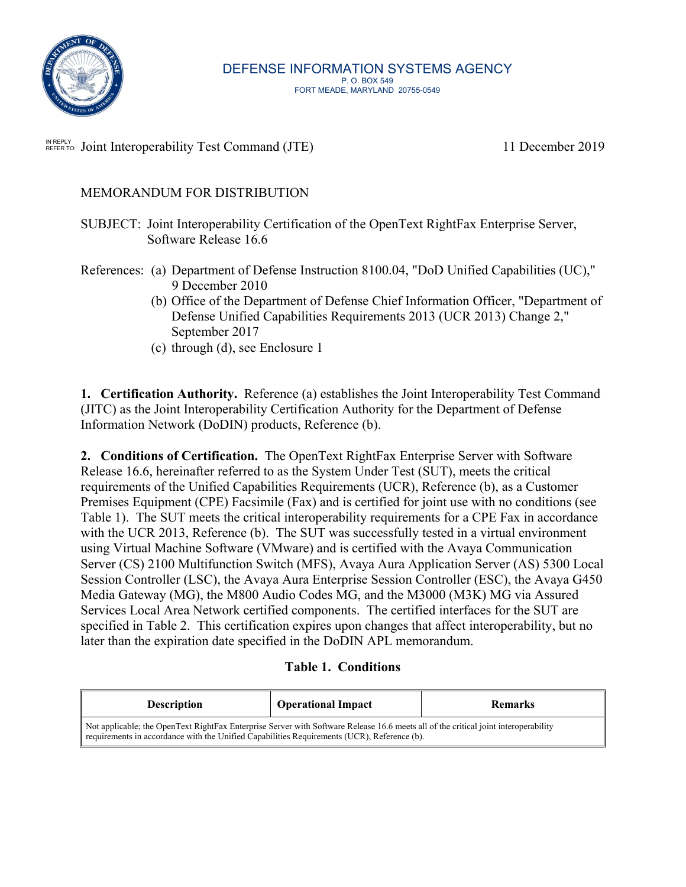

N REPLY Joint Interoperability Test Command (JTE) 11 December 2019

## MEMORANDUM FOR DISTRIBUTION

- SUBJECT: Joint Interoperability Certification of the OpenText RightFax Enterprise Server, Software Release 16.6
- References: (a) Department of Defense Instruction 8100.04, "DoD Unified Capabilities (UC)," 9 December 2010
	- (b) Office of the Department of Defense Chief Information Officer, "Department of Defense Unified Capabilities Requirements 2013 (UCR 2013) Change 2," September 2017
	- (c) through (d), see Enclosure 1

**1. Certification Authority.** Reference (a) establishes the Joint Interoperability Test Command (JITC) as the Joint Interoperability Certification Authority for the Department of Defense Information Network (DoDIN) products, Reference (b).

**2. Conditions of Certification.** The OpenText RightFax Enterprise Server with Software Release 16.6, hereinafter referred to as the System Under Test (SUT), meets the critical requirements of the Unified Capabilities Requirements (UCR), Reference (b), as a Customer Premises Equipment (CPE) Facsimile (Fax) and is certified for joint use with no conditions (see Table 1). The SUT meets the critical interoperability requirements for a CPE Fax in accordance with the UCR 2013, Reference (b). The SUT was successfully tested in a virtual environment using Virtual Machine Software (VMware) and is certified with the Avaya Communication Server (CS) 2100 Multifunction Switch (MFS), Avaya Aura Application Server (AS) 5300 Local Session Controller (LSC), the Avaya Aura Enterprise Session Controller (ESC), the Avaya G450 Media Gateway (MG), the M800 Audio Codes MG, and the M3000 (M3K) MG via Assured Services Local Area Network certified components. The certified interfaces for the SUT are specified in Table 2. This certification expires upon changes that affect interoperability, but no later than the expiration date specified in the DoDIN APL memorandum.

### **Table 1. Conditions**

| <b>Description</b>                                                                                                                                                                                                                 | <b>Operational Impact</b> | <b>Remarks</b> |  |  |  |
|------------------------------------------------------------------------------------------------------------------------------------------------------------------------------------------------------------------------------------|---------------------------|----------------|--|--|--|
| Not applicable; the OpenText RightFax Enterprise Server with Software Release 16.6 meets all of the critical joint interoperability<br>requirements in accordance with the Unified Capabilities Requirements (UCR), Reference (b). |                           |                |  |  |  |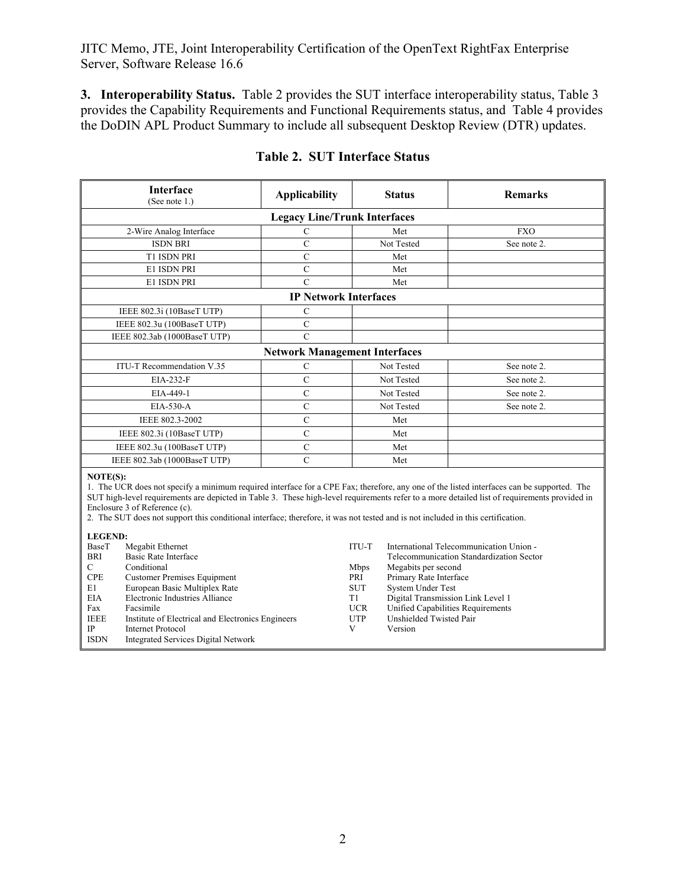JITC Memo, JTE, Joint Interoperability Certification of the OpenText RightFax Enterprise Server, Software Release 16.6

**3. Interoperability Status.** Table 2 provides the SUT interface interoperability status, Table 3 provides the Capability Requirements and Functional Requirements status, and Table 4 provides the DoDIN APL Product Summary to include all subsequent Desktop Review (DTR) updates.

| Interface<br>(See note 1.)                                                                                                                                                                                                                                                                                                                                                                                                                                                | <b>Applicability</b>                 |                                                                           | <b>Status</b>                                                                                                   | <b>Remarks</b>                                                                                                                                                |
|---------------------------------------------------------------------------------------------------------------------------------------------------------------------------------------------------------------------------------------------------------------------------------------------------------------------------------------------------------------------------------------------------------------------------------------------------------------------------|--------------------------------------|---------------------------------------------------------------------------|-----------------------------------------------------------------------------------------------------------------|---------------------------------------------------------------------------------------------------------------------------------------------------------------|
|                                                                                                                                                                                                                                                                                                                                                                                                                                                                           | <b>Legacy Line/Trunk Interfaces</b>  |                                                                           |                                                                                                                 |                                                                                                                                                               |
| 2-Wire Analog Interface                                                                                                                                                                                                                                                                                                                                                                                                                                                   | $\mathsf{C}$                         |                                                                           | Met                                                                                                             | <b>FXO</b>                                                                                                                                                    |
| <b>ISDN BRI</b>                                                                                                                                                                                                                                                                                                                                                                                                                                                           | $\mathcal{C}$                        |                                                                           | Not Tested                                                                                                      | See note 2.                                                                                                                                                   |
| T1 ISDN PRI                                                                                                                                                                                                                                                                                                                                                                                                                                                               | $\mathbf C$                          |                                                                           | Met                                                                                                             |                                                                                                                                                               |
| E1 ISDN PRI                                                                                                                                                                                                                                                                                                                                                                                                                                                               | $\mathbf C$                          |                                                                           | Met                                                                                                             |                                                                                                                                                               |
| E1 ISDN PRI                                                                                                                                                                                                                                                                                                                                                                                                                                                               | $\overline{C}$                       |                                                                           | Met                                                                                                             |                                                                                                                                                               |
|                                                                                                                                                                                                                                                                                                                                                                                                                                                                           | <b>IP Network Interfaces</b>         |                                                                           |                                                                                                                 |                                                                                                                                                               |
| IEEE 802.3i (10BaseT UTP)                                                                                                                                                                                                                                                                                                                                                                                                                                                 | $\mathbf C$                          |                                                                           |                                                                                                                 |                                                                                                                                                               |
| IEEE 802.3u (100BaseT UTP)                                                                                                                                                                                                                                                                                                                                                                                                                                                | $\mathbf C$                          |                                                                           |                                                                                                                 |                                                                                                                                                               |
| IEEE 802.3ab (1000BaseT UTP)                                                                                                                                                                                                                                                                                                                                                                                                                                              | $\overline{C}$                       |                                                                           |                                                                                                                 |                                                                                                                                                               |
|                                                                                                                                                                                                                                                                                                                                                                                                                                                                           | <b>Network Management Interfaces</b> |                                                                           |                                                                                                                 |                                                                                                                                                               |
| ITU-T Recommendation V.35                                                                                                                                                                                                                                                                                                                                                                                                                                                 | ${\bf C}$                            |                                                                           | Not Tested                                                                                                      | See note 2.                                                                                                                                                   |
| EIA-232-F                                                                                                                                                                                                                                                                                                                                                                                                                                                                 | $\overline{C}$                       |                                                                           | Not Tested                                                                                                      | See note 2.                                                                                                                                                   |
| EIA-449-1                                                                                                                                                                                                                                                                                                                                                                                                                                                                 | $\overline{C}$                       |                                                                           | Not Tested                                                                                                      | See note 2.                                                                                                                                                   |
| EIA-530-A                                                                                                                                                                                                                                                                                                                                                                                                                                                                 | $\overline{C}$                       |                                                                           | Not Tested                                                                                                      | See note 2.                                                                                                                                                   |
| IEEE 802.3-2002                                                                                                                                                                                                                                                                                                                                                                                                                                                           | $\mathbf C$                          |                                                                           | Met                                                                                                             |                                                                                                                                                               |
| IEEE 802.3i (10BaseT UTP)                                                                                                                                                                                                                                                                                                                                                                                                                                                 | $\mathbf C$                          |                                                                           | Met                                                                                                             |                                                                                                                                                               |
| IEEE 802.3u (100BaseT UTP)                                                                                                                                                                                                                                                                                                                                                                                                                                                | $\mathbf C$                          |                                                                           | Met                                                                                                             |                                                                                                                                                               |
| IEEE 802.3ab (1000BaseT UTP)                                                                                                                                                                                                                                                                                                                                                                                                                                              | $\mathcal{C}$                        |                                                                           | Met                                                                                                             |                                                                                                                                                               |
| NOTE(S):<br>1. The UCR does not specify a minimum required interface for a CPE Fax; therefore, any one of the listed interfaces can be supported. The<br>SUT high-level requirements are depicted in Table 3. These high-level requirements refer to a more detailed list of requirements provided in<br>Enclosure 3 of Reference (c).<br>2. The SUT does not support this conditional interface; therefore, it was not tested and is not included in this certification. |                                      |                                                                           |                                                                                                                 |                                                                                                                                                               |
| <b>LEGEND:</b><br>BaseT<br>Megabit Ethernet<br><b>Basic Rate Interface</b><br>BRI<br>C<br>Conditional<br><b>CPE</b><br><b>Customer Premises Equipment</b><br>E1<br>European Basic Multiplex Rate<br>Electronic Industries Alliance<br><b>EIA</b><br>Facsimile<br>Fax<br><b>IEEE</b><br>Institute of Electrical and Electronics Engineers<br><b>IP</b><br><b>Internet Protocol</b><br><b>ISDN</b><br><b>Integrated Services Digital Network</b>                            |                                      | ITU-T<br>Mbps<br>PRI<br><b>SUT</b><br>T1<br><b>UCR</b><br><b>UTP</b><br>V | Megabits per second<br>Primary Rate Interface<br><b>System Under Test</b><br>Unshielded Twisted Pair<br>Version | International Telecommunication Union -<br>Telecommunication Standardization Sector<br>Digital Transmission Link Level 1<br>Unified Capabilities Requirements |

## **Table 2. SUT Interface Status**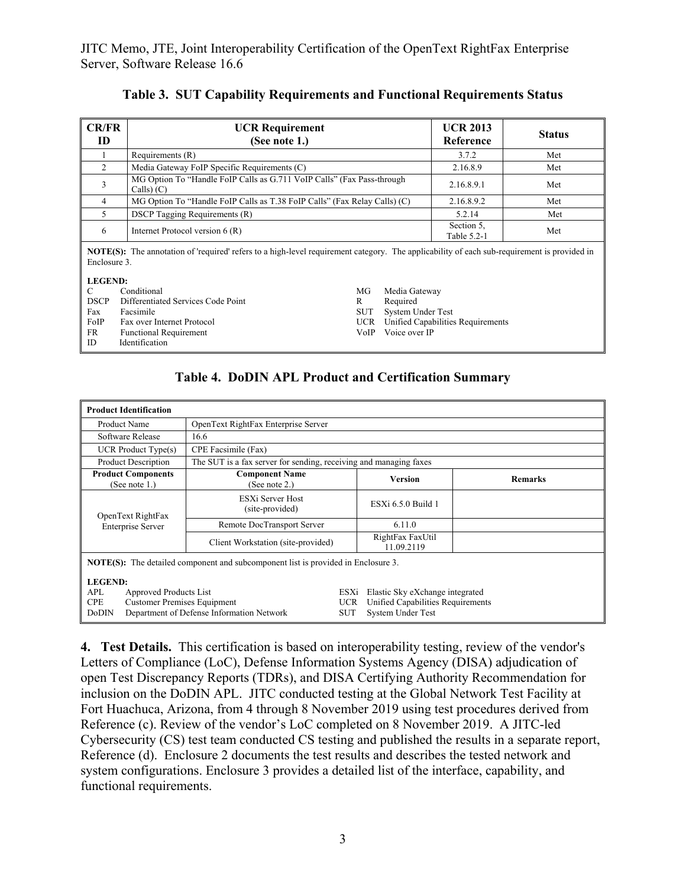| CR/FR<br>ID                                                                                                                                                        | <b>UCR Requirement</b><br>(See note 1.)                                              |                                                                           |  | <b>UCR 2013</b><br>Reference      | <b>Status</b> |
|--------------------------------------------------------------------------------------------------------------------------------------------------------------------|--------------------------------------------------------------------------------------|---------------------------------------------------------------------------|--|-----------------------------------|---------------|
|                                                                                                                                                                    | Requirements (R)                                                                     |                                                                           |  |                                   | Met           |
| $\overline{2}$                                                                                                                                                     | Media Gateway FoIP Specific Requirements (C)                                         |                                                                           |  | 2.16.8.9                          | Met           |
| 3                                                                                                                                                                  | MG Option To "Handle FoIP Calls as G.711 VoIP Calls" (Fax Pass-through<br>Calls) (C) |                                                                           |  | 2.16.8.9.1                        | Met           |
| 4                                                                                                                                                                  |                                                                                      | MG Option To "Handle FoIP Calls as T.38 FoIP Calls" (Fax Relay Calls) (C) |  |                                   | Met           |
| 5                                                                                                                                                                  | <b>DSCP</b> Tagging Requirements (R)                                                 |                                                                           |  |                                   | Met           |
| 6                                                                                                                                                                  | Internet Protocol version $6(R)$                                                     |                                                                           |  | Section 5.<br>Table 5.2-1         | Met           |
| <b>NOTE(S):</b> The annotation of 'required' refers to a high-level requirement category. The applicability of each sub-requirement is provided in<br>Enclosure 3. |                                                                                      |                                                                           |  |                                   |               |
| C                                                                                                                                                                  | <b>LEGEND:</b><br>Conditional<br>MG<br>Media Gateway                                 |                                                                           |  |                                   |               |
| <b>DSCP</b>                                                                                                                                                        | Differentiated Services Code Point<br>Required<br>R                                  |                                                                           |  |                                   |               |
| Fax                                                                                                                                                                | System Under Test<br>Facsimile<br>SUT                                                |                                                                           |  |                                   |               |
| FoIP                                                                                                                                                               | Fax over Internet Protocol<br>UCR.                                                   |                                                                           |  | Unified Capabilities Requirements |               |
| FR                                                                                                                                                                 | Voice over IP<br>VoIP<br><b>Functional Requirement</b>                               |                                                                           |  |                                   |               |
| ID                                                                                                                                                                 | <b>Identification</b>                                                                |                                                                           |  |                                   |               |

**Table 3. SUT Capability Requirements and Functional Requirements Status** 

#### **Table 4. DoDIN APL Product and Certification Summary**

| <b>Product Identification</b>                                                                              |                                                                   |                                  |                                                                                                  |                |  |
|------------------------------------------------------------------------------------------------------------|-------------------------------------------------------------------|----------------------------------|--------------------------------------------------------------------------------------------------|----------------|--|
| Product Name                                                                                               | OpenText RightFax Enterprise Server                               |                                  |                                                                                                  |                |  |
| Software Release                                                                                           | 16.6                                                              |                                  |                                                                                                  |                |  |
| $UCR$ Product Type $(s)$                                                                                   | CPE Facsimile (Fax)                                               |                                  |                                                                                                  |                |  |
| <b>Product Description</b>                                                                                 | The SUT is a fax server for sending, receiving and managing faxes |                                  |                                                                                                  |                |  |
| <b>Product Components</b><br>(See note 1.)                                                                 | <b>Component Name</b><br>Version<br>(See note 2.)                 |                                  |                                                                                                  | <b>Remarks</b> |  |
| OpenText RightFax                                                                                          | ESXi Server Host<br>(site-provided)                               |                                  | ESXi 6.5.0 Build 1                                                                               |                |  |
| <b>Enterprise Server</b>                                                                                   | Remote DocTransport Server                                        |                                  | 6.11.0                                                                                           |                |  |
|                                                                                                            | Client Workstation (site-provided)                                |                                  | RightFax FaxUtil<br>11.09.2119                                                                   |                |  |
| <b>NOTE(S):</b> The detailed component and subcomponent list is provided in Enclosure 3.<br><b>LEGEND:</b> |                                                                   |                                  |                                                                                                  |                |  |
| APL<br>Approved Products List<br><b>Customer Premises Equipment</b><br><b>CPE</b><br>DoDIN                 | Department of Defense Information Network                         | ESXi<br><b>UCR</b><br><b>SUT</b> | Elastic Sky eXchange integrated<br>Unified Capabilities Requirements<br><b>System Under Test</b> |                |  |

**4. Test Details.** This certification is based on interoperability testing, review of the vendor's Letters of Compliance (LoC), Defense Information Systems Agency (DISA) adjudication of open Test Discrepancy Reports (TDRs), and DISA Certifying Authority Recommendation for inclusion on the DoDIN APL. JITC conducted testing at the Global Network Test Facility at Fort Huachuca, Arizona, from 4 through 8 November 2019 using test procedures derived from Reference (c). Review of the vendor's LoC completed on 8 November 2019. A JITC-led Cybersecurity (CS) test team conducted CS testing and published the results in a separate report, Reference (d). Enclosure 2 documents the test results and describes the tested network and system configurations. Enclosure 3 provides a detailed list of the interface, capability, and functional requirements.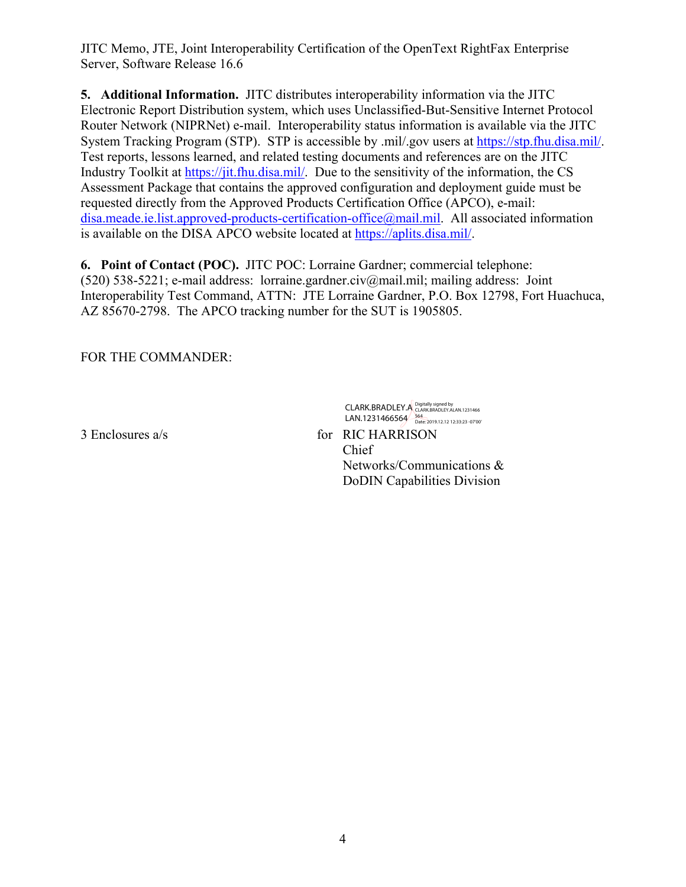JITC Memo, JTE, Joint Interoperability Certification of the OpenText RightFax Enterprise Server, Software Release 16.6

**5. Additional Information.** JITC distributes interoperability information via the JITC Electronic Report Distribution system, which uses Unclassified-But-Sensitive Internet Protocol Router Network (NIPRNet) e-mail. Interoperability status information is available via the JITC System Tracking Program (STP). STP is accessible by .mil/.gov users at https://stp.fhu.disa.mil/. Test reports, lessons learned, and related testing documents and references are on the JITC Industry Toolkit at https://jit.fhu.disa.mil/. Due to the sensitivity of the information, the CS Assessment Package that contains the approved configuration and deployment guide must be requested directly from the Approved Products Certification Office (APCO), e-mail: disa.meade.ie.list.approved-products-certification-office@mail.mil. All associated information is available on the DISA APCO website located at https://aplits.disa.mil/.

**6. Point of Contact (POC).** JITC POC: Lorraine Gardner; commercial telephone: (520) 538-5221; e-mail address: lorraine.gardner.civ@mail.mil; mailing address: Joint Interoperability Test Command, ATTN: JTE Lorraine Gardner, P.O. Box 12798, Fort Huachuca, AZ 85670-2798. The APCO tracking number for the SUT is 1905805.

FOR THE COMMANDER:

CLARK.BRADLEY.A Digitally signed by 1466 LAN.1231466564 564<br>Date: 2019.12.12 12:33:23 -07'00

3 Enclosures a/s for RIC HARRISON Chief Networks/Communications & DoDIN Capabilities Division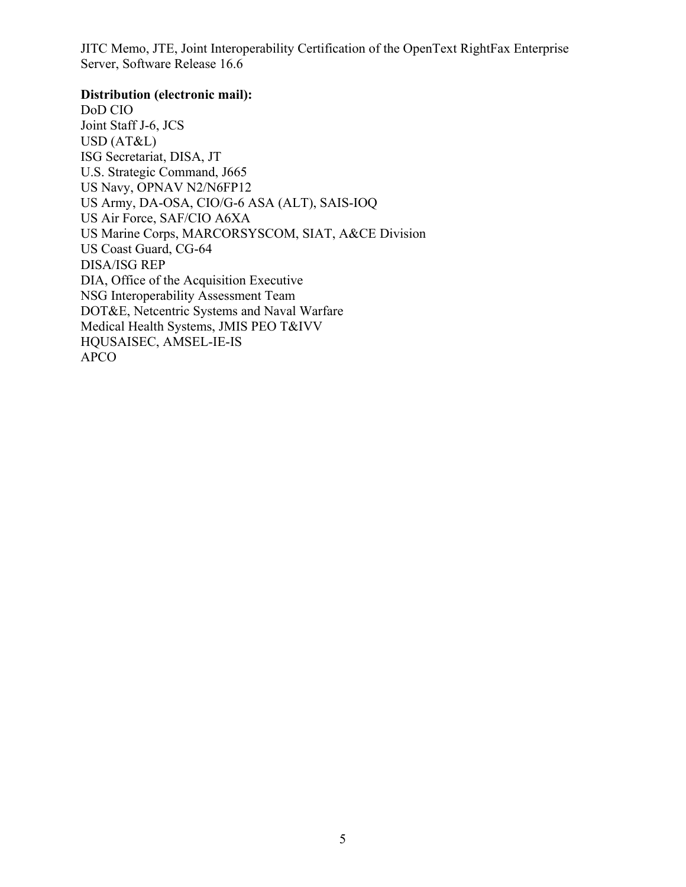JITC Memo, JTE, Joint Interoperability Certification of the OpenText RightFax Enterprise Server, Software Release 16.6

#### **Distribution (electronic mail):**

DoD CIO Joint Staff J-6, JCS USD (AT&L) ISG Secretariat, DISA, JT U.S. Strategic Command, J665 US Navy, OPNAV N2/N6FP12 US Army, DA-OSA, CIO/G-6 ASA (ALT), SAIS-IOQ US Air Force, SAF/CIO A6XA US Marine Corps, MARCORSYSCOM, SIAT, A&CE Division US Coast Guard, CG-64 DISA/ISG REP DIA, Office of the Acquisition Executive NSG Interoperability Assessment Team DOT&E, Netcentric Systems and Naval Warfare Medical Health Systems, JMIS PEO T&IVV HQUSAISEC, AMSEL-IE-IS APCO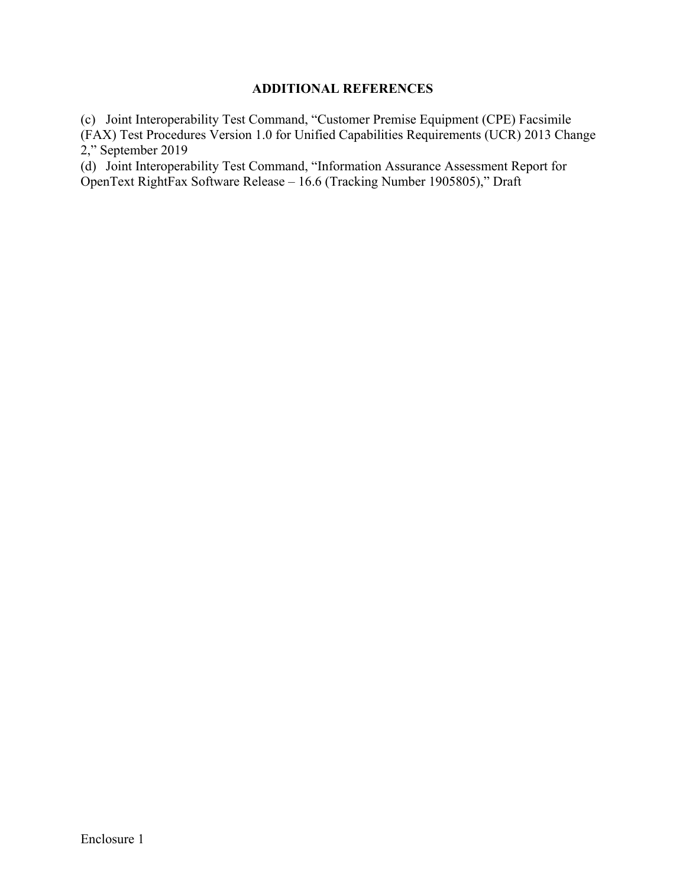#### **ADDITIONAL REFERENCES**

(c) Joint Interoperability Test Command, "Customer Premise Equipment (CPE) Facsimile (FAX) Test Procedures Version 1.0 for Unified Capabilities Requirements (UCR) 2013 Change 2," September 2019

(d) Joint Interoperability Test Command, "Information Assurance Assessment Report for OpenText RightFax Software Release – 16.6 (Tracking Number 1905805)," Draft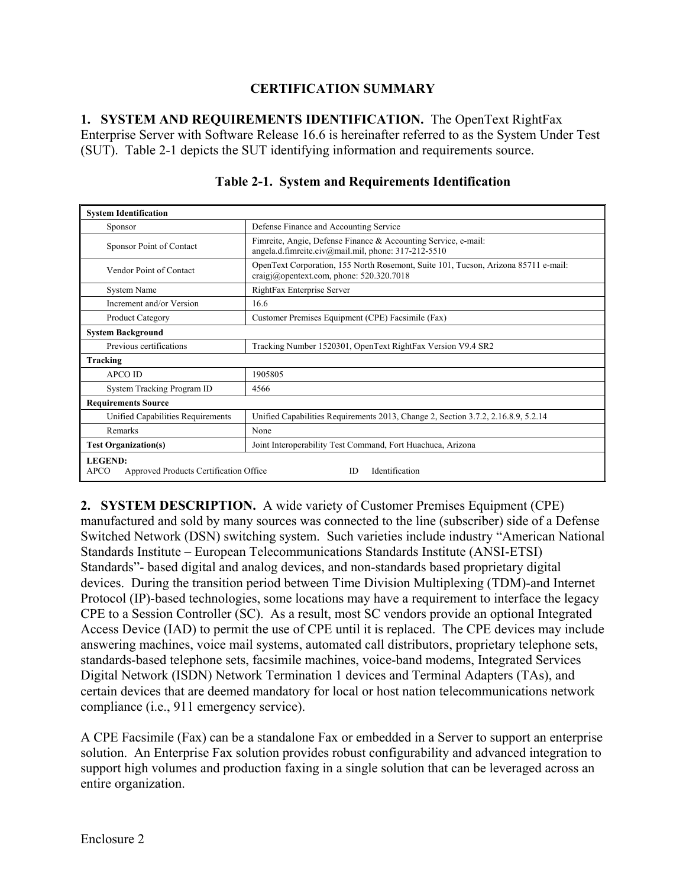### **CERTIFICATION SUMMARY**

**1. SYSTEM AND REQUIREMENTS IDENTIFICATION.** The OpenText RightFax Enterprise Server with Software Release 16.6 is hereinafter referred to as the System Under Test (SUT). Table 2-1 depicts the SUT identifying information and requirements source.

| <b>System Identification</b>                                                                           |                                                                                                                                  |  |  |  |  |  |
|--------------------------------------------------------------------------------------------------------|----------------------------------------------------------------------------------------------------------------------------------|--|--|--|--|--|
| Sponsor                                                                                                | Defense Finance and Accounting Service                                                                                           |  |  |  |  |  |
| Sponsor Point of Contact                                                                               | Fimreite, Angie, Defense Finance & Accounting Service, e-mail:<br>angela.d.fimreite.civ@mail.mil, phone: 317-212-5510            |  |  |  |  |  |
| Vendor Point of Contact                                                                                | OpenText Corporation, 155 North Rosemont, Suite 101, Tucson, Arizona 85711 e-mail:<br>craigi@opentext.com, phone: $520.320.7018$ |  |  |  |  |  |
| <b>System Name</b>                                                                                     | RightFax Enterprise Server                                                                                                       |  |  |  |  |  |
| Increment and/or Version                                                                               | 16.6                                                                                                                             |  |  |  |  |  |
| Product Category                                                                                       | Customer Premises Equipment (CPE) Facsimile (Fax)                                                                                |  |  |  |  |  |
| <b>System Background</b>                                                                               |                                                                                                                                  |  |  |  |  |  |
| Previous certifications                                                                                | Tracking Number 1520301, OpenText RightFax Version V9.4 SR2                                                                      |  |  |  |  |  |
| Tracking                                                                                               |                                                                                                                                  |  |  |  |  |  |
| <b>APCO ID</b>                                                                                         | 1905805                                                                                                                          |  |  |  |  |  |
| System Tracking Program ID                                                                             | 4566                                                                                                                             |  |  |  |  |  |
| <b>Requirements Source</b>                                                                             |                                                                                                                                  |  |  |  |  |  |
| Unified Capabilities Requirements                                                                      | Unified Capabilities Requirements 2013, Change 2, Section 3.7.2, 2.16.8.9, 5.2.14                                                |  |  |  |  |  |
| Remarks                                                                                                | None                                                                                                                             |  |  |  |  |  |
| <b>Test Organization(s)</b>                                                                            | Joint Interoperability Test Command, Fort Huachuca, Arizona                                                                      |  |  |  |  |  |
| <b>LEGEND:</b><br>Identification<br><b>APCO</b><br>Approved Products Certification Office<br><b>ID</b> |                                                                                                                                  |  |  |  |  |  |

#### **Table 2-1. System and Requirements Identification**

**2. SYSTEM DESCRIPTION.** A wide variety of Customer Premises Equipment (CPE) manufactured and sold by many sources was connected to the line (subscriber) side of a Defense Switched Network (DSN) switching system. Such varieties include industry "American National Standards Institute – European Telecommunications Standards Institute (ANSI-ETSI) Standards"- based digital and analog devices, and non-standards based proprietary digital devices. During the transition period between Time Division Multiplexing (TDM)-and Internet Protocol (IP)-based technologies, some locations may have a requirement to interface the legacy CPE to a Session Controller (SC). As a result, most SC vendors provide an optional Integrated Access Device (IAD) to permit the use of CPE until it is replaced. The CPE devices may include answering machines, voice mail systems, automated call distributors, proprietary telephone sets, standards-based telephone sets, facsimile machines, voice-band modems, Integrated Services Digital Network (ISDN) Network Termination 1 devices and Terminal Adapters (TAs), and certain devices that are deemed mandatory for local or host nation telecommunications network compliance (i.e., 911 emergency service).

A CPE Facsimile (Fax) can be a standalone Fax or embedded in a Server to support an enterprise solution. An Enterprise Fax solution provides robust configurability and advanced integration to support high volumes and production faxing in a single solution that can be leveraged across an entire organization.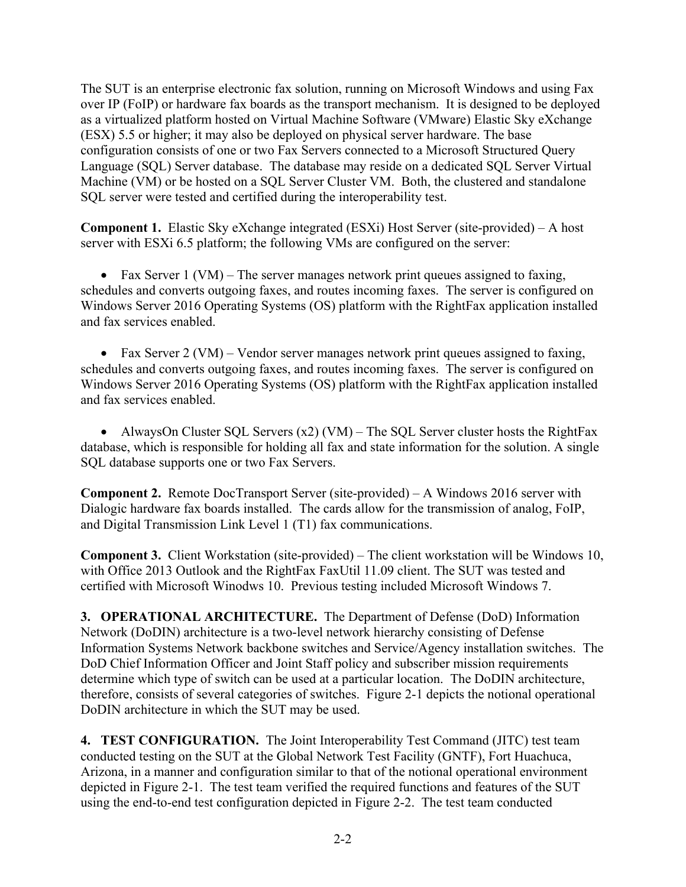The SUT is an enterprise electronic fax solution, running on Microsoft Windows and using Fax over IP (FoIP) or hardware fax boards as the transport mechanism. It is designed to be deployed as a virtualized platform hosted on Virtual Machine Software (VMware) Elastic Sky eXchange (ESX) 5.5 or higher; it may also be deployed on physical server hardware. The base configuration consists of one or two Fax Servers connected to a Microsoft Structured Query Language (SQL) Server database. The database may reside on a dedicated SQL Server Virtual Machine (VM) or be hosted on a SQL Server Cluster VM. Both, the clustered and standalone SQL server were tested and certified during the interoperability test.

**Component 1.** Elastic Sky eXchange integrated (ESXi) Host Server (site-provided) – A host server with ESXi 6.5 platform; the following VMs are configured on the server:

• Fax Server 1 (VM) – The server manages network print queues assigned to faxing, schedules and converts outgoing faxes, and routes incoming faxes. The server is configured on Windows Server 2016 Operating Systems (OS) platform with the RightFax application installed and fax services enabled.

• Fax Server 2 (VM) – Vendor server manages network print queues assigned to faxing, schedules and converts outgoing faxes, and routes incoming faxes. The server is configured on Windows Server 2016 Operating Systems (OS) platform with the RightFax application installed and fax services enabled.

• AlwaysOn Cluster SQL Servers  $(x2)$  (VM) – The SQL Server cluster hosts the RightFax database, which is responsible for holding all fax and state information for the solution. A single SQL database supports one or two Fax Servers.

**Component 2.** Remote DocTransport Server (site-provided) – A Windows 2016 server with Dialogic hardware fax boards installed. The cards allow for the transmission of analog, FoIP, and Digital Transmission Link Level 1 (T1) fax communications.

**Component 3.** Client Workstation (site-provided) – The client workstation will be Windows 10, with Office 2013 Outlook and the RightFax FaxUtil 11.09 client. The SUT was tested and certified with Microsoft Winodws 10. Previous testing included Microsoft Windows 7.

**3. OPERATIONAL ARCHITECTURE.** The Department of Defense (DoD) Information Network (DoDIN) architecture is a two-level network hierarchy consisting of Defense Information Systems Network backbone switches and Service/Agency installation switches. The DoD Chief Information Officer and Joint Staff policy and subscriber mission requirements determine which type of switch can be used at a particular location. The DoDIN architecture, therefore, consists of several categories of switches. Figure 2-1 depicts the notional operational DoDIN architecture in which the SUT may be used.

**4. TEST CONFIGURATION.**The Joint Interoperability Test Command (JITC) test team conducted testing on the SUT at the Global Network Test Facility (GNTF), Fort Huachuca, Arizona, in a manner and configuration similar to that of the notional operational environment depicted in Figure 2-1. The test team verified the required functions and features of the SUT using the end-to-end test configuration depicted in Figure 2-2. The test team conducted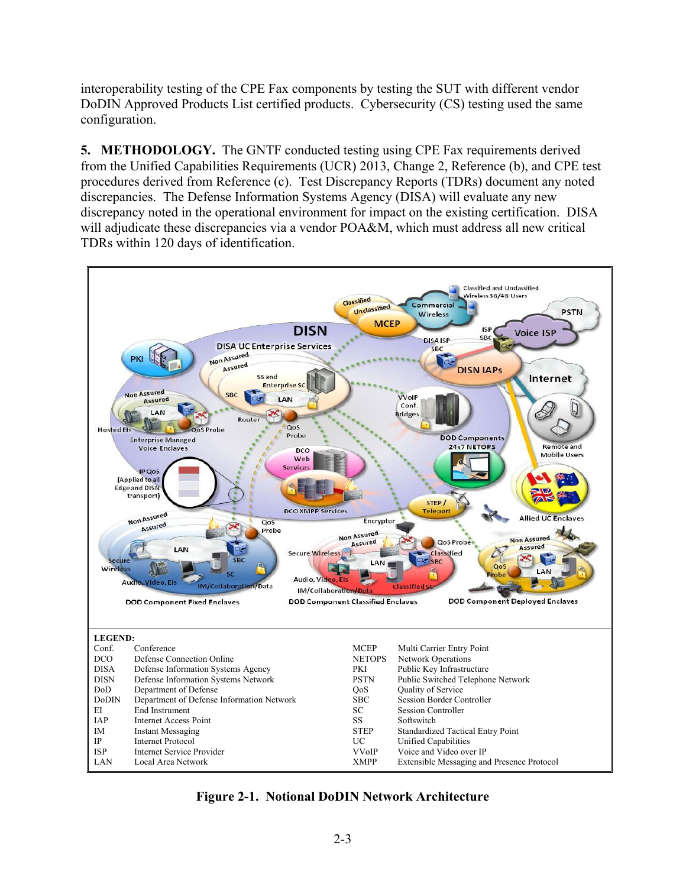interoperability testing of the CPE Fax components by testing the SUT with different vendor DoDIN Approved Products List certified products. Cybersecurity (CS) testing used the same configuration.

**5. METHODOLOGY.** The GNTF conducted testing using CPE Fax requirements derived from the Unified Capabilities Requirements (UCR) 2013, Change 2, Reference (b), and CPE test procedures derived from Reference (c). Test Discrepancy Reports (TDRs) document any noted discrepancies. The Defense Information Systems Agency (DISA) will evaluate any new discrepancy noted in the operational environment for impact on the existing certification. DISA will adjudicate these discrepancies via a vendor POA&M, which must address all new critical TDRs within 120 days of identification.



**Figure 2-1. Notional DoDIN Network Architecture**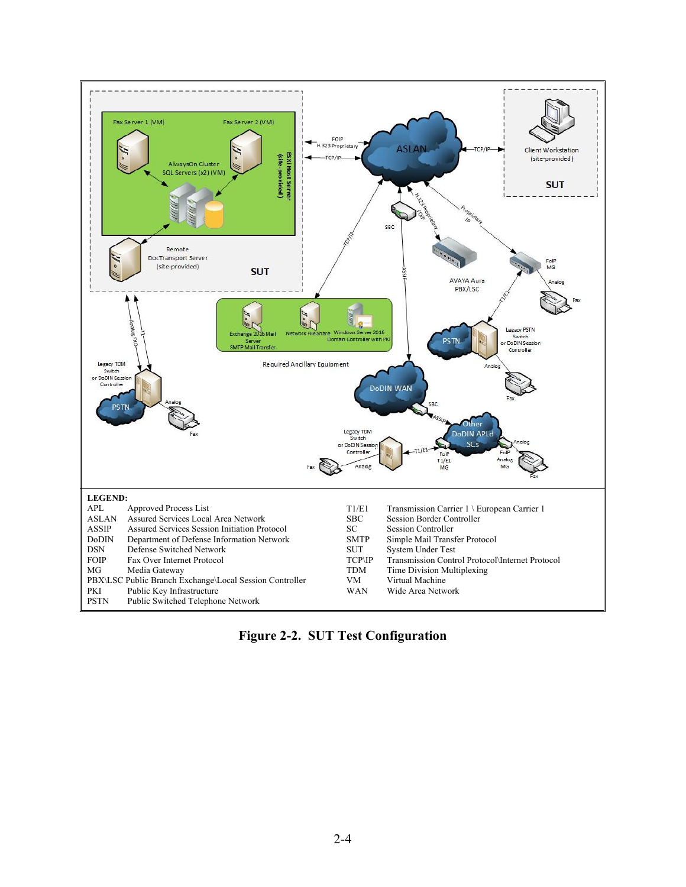

**Figure 2-2. SUT Test Configuration**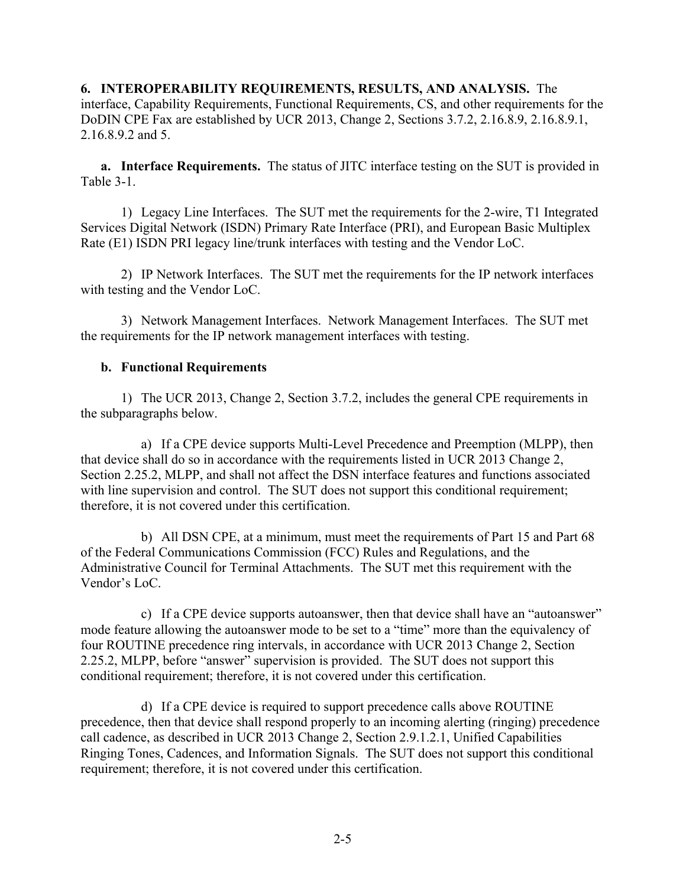**6. INTEROPERABILITY REQUIREMENTS, RESULTS, AND ANALYSIS.** The interface, Capability Requirements, Functional Requirements, CS, and other requirements for the DoDIN CPE Fax are established by UCR 2013, Change 2, Sections 3.7.2, 2.16.8.9, 2.16.8.9.1, 2.16.8.9.2 and 5.

**a. Interface Requirements.** The status of JITC interface testing on the SUT is provided in Table 3-1.

1) Legacy Line Interfaces. The SUT met the requirements for the 2-wire, T1 Integrated Services Digital Network (ISDN) Primary Rate Interface (PRI), and European Basic Multiplex Rate (E1) ISDN PRI legacy line/trunk interfaces with testing and the Vendor LoC.

2) IP Network Interfaces. The SUT met the requirements for the IP network interfaces with testing and the Vendor LoC.

3) Network Management Interfaces. Network Management Interfaces. The SUT met the requirements for the IP network management interfaces with testing.

### **b. Functional Requirements**

1) The UCR 2013, Change 2, Section 3.7.2, includes the general CPE requirements in the subparagraphs below.

a) If a CPE device supports Multi-Level Precedence and Preemption (MLPP), then that device shall do so in accordance with the requirements listed in UCR 2013 Change 2, Section 2.25.2, MLPP, and shall not affect the DSN interface features and functions associated with line supervision and control. The SUT does not support this conditional requirement; therefore, it is not covered under this certification.

b) All DSN CPE, at a minimum, must meet the requirements of Part 15 and Part 68 of the Federal Communications Commission (FCC) Rules and Regulations, and the Administrative Council for Terminal Attachments. The SUT met this requirement with the Vendor's LoC.

c) If a CPE device supports autoanswer, then that device shall have an "autoanswer" mode feature allowing the autoanswer mode to be set to a "time" more than the equivalency of four ROUTINE precedence ring intervals, in accordance with UCR 2013 Change 2, Section 2.25.2, MLPP, before "answer" supervision is provided. The SUT does not support this conditional requirement; therefore, it is not covered under this certification.

d) If a CPE device is required to support precedence calls above ROUTINE precedence, then that device shall respond properly to an incoming alerting (ringing) precedence call cadence, as described in UCR 2013 Change 2, Section 2.9.1.2.1, Unified Capabilities Ringing Tones, Cadences, and Information Signals. The SUT does not support this conditional requirement; therefore, it is not covered under this certification.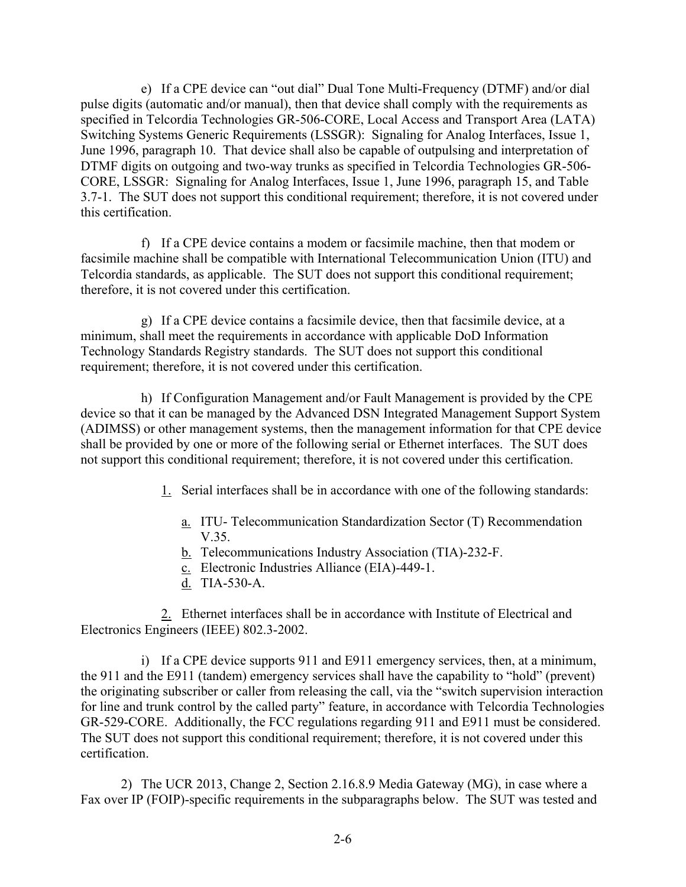e) If a CPE device can "out dial" Dual Tone Multi-Frequency (DTMF) and/or dial pulse digits (automatic and/or manual), then that device shall comply with the requirements as specified in Telcordia Technologies GR-506-CORE, Local Access and Transport Area (LATA) Switching Systems Generic Requirements (LSSGR): Signaling for Analog Interfaces, Issue 1, June 1996, paragraph 10. That device shall also be capable of outpulsing and interpretation of DTMF digits on outgoing and two-way trunks as specified in Telcordia Technologies GR-506- CORE, LSSGR: Signaling for Analog Interfaces, Issue 1, June 1996, paragraph 15, and Table 3.7-1. The SUT does not support this conditional requirement; therefore, it is not covered under this certification.

f) If a CPE device contains a modem or facsimile machine, then that modem or facsimile machine shall be compatible with International Telecommunication Union (ITU) and Telcordia standards, as applicable. The SUT does not support this conditional requirement; therefore, it is not covered under this certification.

g) If a CPE device contains a facsimile device, then that facsimile device, at a minimum, shall meet the requirements in accordance with applicable DoD Information Technology Standards Registry standards. The SUT does not support this conditional requirement; therefore, it is not covered under this certification.

h) If Configuration Management and/or Fault Management is provided by the CPE device so that it can be managed by the Advanced DSN Integrated Management Support System (ADIMSS) or other management systems, then the management information for that CPE device shall be provided by one or more of the following serial or Ethernet interfaces. The SUT does not support this conditional requirement; therefore, it is not covered under this certification.

- 1. Serial interfaces shall be in accordance with one of the following standards:
	- a. ITU- Telecommunication Standardization Sector (T) Recommendation V.35.
	- b. Telecommunications Industry Association (TIA)-232-F.
	- c. Electronic Industries Alliance (EIA)-449-1.
	- d. TIA-530-A.

2. Ethernet interfaces shall be in accordance with Institute of Electrical and Electronics Engineers (IEEE) 802.3-2002.

i) If a CPE device supports 911 and E911 emergency services, then, at a minimum, the 911 and the E911 (tandem) emergency services shall have the capability to "hold" (prevent) the originating subscriber or caller from releasing the call, via the "switch supervision interaction for line and trunk control by the called party" feature, in accordance with Telcordia Technologies GR-529-CORE. Additionally, the FCC regulations regarding 911 and E911 must be considered. The SUT does not support this conditional requirement; therefore, it is not covered under this certification.

2) The UCR 2013, Change 2, Section 2.16.8.9 Media Gateway (MG), in case where a Fax over IP (FOIP)-specific requirements in the subparagraphs below. The SUT was tested and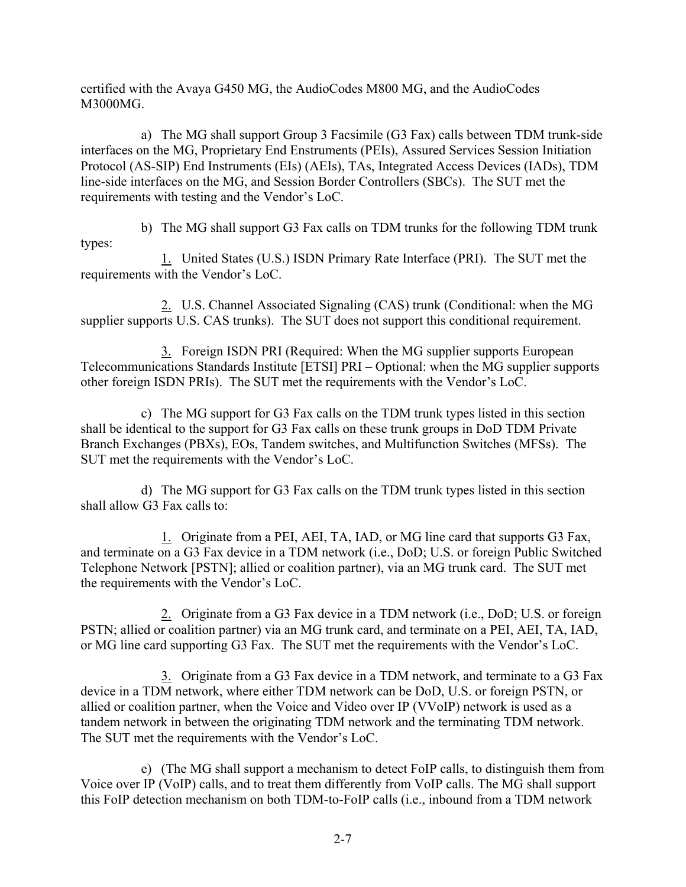certified with the Avaya G450 MG, the AudioCodes M800 MG, and the AudioCodes M3000MG.

a) The MG shall support Group 3 Facsimile (G3 Fax) calls between TDM trunk-side interfaces on the MG, Proprietary End Enstruments (PEIs), Assured Services Session Initiation Protocol (AS-SIP) End Instruments (EIs) (AEIs), TAs, Integrated Access Devices (IADs), TDM line-side interfaces on the MG, and Session Border Controllers (SBCs). The SUT met the requirements with testing and the Vendor's LoC.

b) The MG shall support G3 Fax calls on TDM trunks for the following TDM trunk types:

1. United States (U.S.) ISDN Primary Rate Interface (PRI). The SUT met the requirements with the Vendor's LoC.

2. U.S. Channel Associated Signaling (CAS) trunk (Conditional: when the MG supplier supports U.S. CAS trunks). The SUT does not support this conditional requirement.

3. Foreign ISDN PRI (Required: When the MG supplier supports European Telecommunications Standards Institute [ETSI] PRI – Optional: when the MG supplier supports other foreign ISDN PRIs). The SUT met the requirements with the Vendor's LoC.

c) The MG support for G3 Fax calls on the TDM trunk types listed in this section shall be identical to the support for G3 Fax calls on these trunk groups in DoD TDM Private Branch Exchanges (PBXs), EOs, Tandem switches, and Multifunction Switches (MFSs). The SUT met the requirements with the Vendor's LoC.

d) The MG support for G3 Fax calls on the TDM trunk types listed in this section shall allow G3 Fax calls to:

1. Originate from a PEI, AEI, TA, IAD, or MG line card that supports G3 Fax, and terminate on a G3 Fax device in a TDM network (i.e., DoD; U.S. or foreign Public Switched Telephone Network [PSTN]; allied or coalition partner), via an MG trunk card. The SUT met the requirements with the Vendor's LoC.

2. Originate from a G3 Fax device in a TDM network (i.e., DoD; U.S. or foreign PSTN; allied or coalition partner) via an MG trunk card, and terminate on a PEI, AEI, TA, IAD, or MG line card supporting G3 Fax. The SUT met the requirements with the Vendor's LoC.

3. Originate from a G3 Fax device in a TDM network, and terminate to a G3 Fax device in a TDM network, where either TDM network can be DoD, U.S. or foreign PSTN, or allied or coalition partner, when the Voice and Video over IP (VVoIP) network is used as a tandem network in between the originating TDM network and the terminating TDM network. The SUT met the requirements with the Vendor's LoC.

e) (The MG shall support a mechanism to detect FoIP calls, to distinguish them from Voice over IP (VoIP) calls, and to treat them differently from VoIP calls. The MG shall support this FoIP detection mechanism on both TDM-to-FoIP calls (i.e., inbound from a TDM network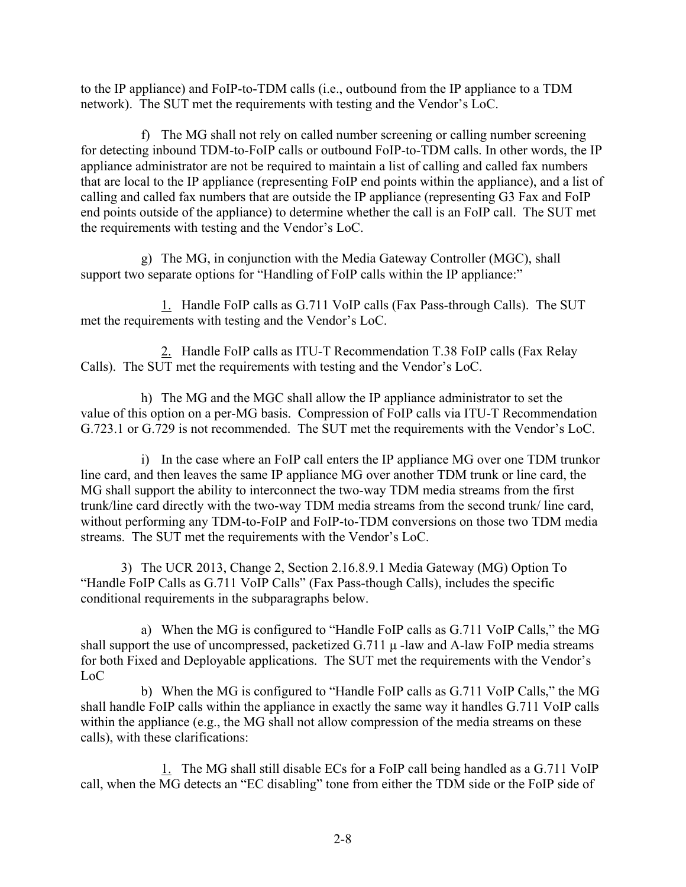to the IP appliance) and FoIP-to-TDM calls (i.e., outbound from the IP appliance to a TDM network). The SUT met the requirements with testing and the Vendor's LoC.

f) The MG shall not rely on called number screening or calling number screening for detecting inbound TDM-to-FoIP calls or outbound FoIP-to-TDM calls. In other words, the IP appliance administrator are not be required to maintain a list of calling and called fax numbers that are local to the IP appliance (representing FoIP end points within the appliance), and a list of calling and called fax numbers that are outside the IP appliance (representing G3 Fax and FoIP end points outside of the appliance) to determine whether the call is an FoIP call. The SUT met the requirements with testing and the Vendor's LoC.

g) The MG, in conjunction with the Media Gateway Controller (MGC), shall support two separate options for "Handling of FoIP calls within the IP appliance:"

1. Handle FoIP calls as G.711 VoIP calls (Fax Pass-through Calls). The SUT met the requirements with testing and the Vendor's LoC.

2. Handle FoIP calls as ITU-T Recommendation T.38 FoIP calls (Fax Relay Calls). The SUT met the requirements with testing and the Vendor's LoC.

h) The MG and the MGC shall allow the IP appliance administrator to set the value of this option on a per-MG basis. Compression of FoIP calls via ITU-T Recommendation G.723.1 or G.729 is not recommended. The SUT met the requirements with the Vendor's LoC.

i) In the case where an FoIP call enters the IP appliance MG over one TDM trunkor line card, and then leaves the same IP appliance MG over another TDM trunk or line card, the MG shall support the ability to interconnect the two-way TDM media streams from the first trunk/line card directly with the two-way TDM media streams from the second trunk/ line card, without performing any TDM-to-FoIP and FoIP-to-TDM conversions on those two TDM media streams. The SUT met the requirements with the Vendor's LoC.

3) The UCR 2013, Change 2, Section 2.16.8.9.1 Media Gateway (MG) Option To "Handle FoIP Calls as G.711 VoIP Calls" (Fax Pass-though Calls), includes the specific conditional requirements in the subparagraphs below.

a) When the MG is configured to "Handle FoIP calls as G.711 VoIP Calls," the MG shall support the use of uncompressed, packetized  $G.711 \mu$ -law and A-law FoIP media streams for both Fixed and Deployable applications. The SUT met the requirements with the Vendor's LoC

b) When the MG is configured to "Handle FoIP calls as G.711 VoIP Calls," the MG shall handle FoIP calls within the appliance in exactly the same way it handles G.711 VoIP calls within the appliance (e.g., the MG shall not allow compression of the media streams on these calls), with these clarifications:

1. The MG shall still disable ECs for a FoIP call being handled as a G.711 VoIP call, when the MG detects an "EC disabling" tone from either the TDM side or the FoIP side of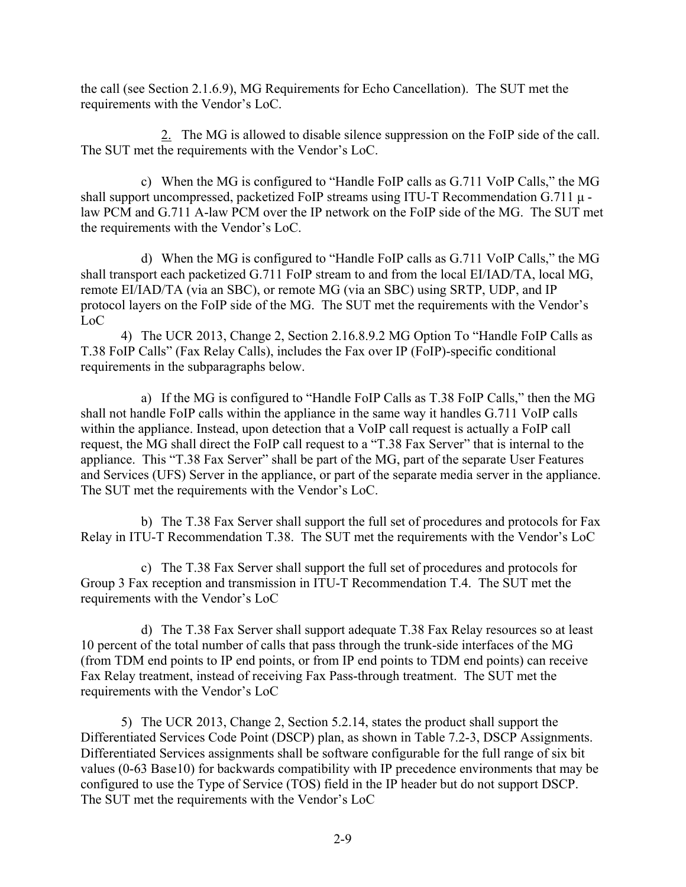the call (see Section 2.1.6.9), MG Requirements for Echo Cancellation). The SUT met the requirements with the Vendor's LoC.

2. The MG is allowed to disable silence suppression on the FoIP side of the call. The SUT met the requirements with the Vendor's LoC.

c) When the MG is configured to "Handle FoIP calls as G.711 VoIP Calls," the MG shall support uncompressed, packetized FoIP streams using ITU-T Recommendation G.711 μ law PCM and G.711 A-law PCM over the IP network on the FoIP side of the MG. The SUT met the requirements with the Vendor's LoC.

d) When the MG is configured to "Handle FoIP calls as G.711 VoIP Calls," the MG shall transport each packetized G.711 FoIP stream to and from the local EI/IAD/TA, local MG, remote EI/IAD/TA (via an SBC), or remote MG (via an SBC) using SRTP, UDP, and IP protocol layers on the FoIP side of the MG. The SUT met the requirements with the Vendor's LoC

4) The UCR 2013, Change 2, Section 2.16.8.9.2 MG Option To "Handle FoIP Calls as T.38 FoIP Calls" (Fax Relay Calls), includes the Fax over IP (FoIP)-specific conditional requirements in the subparagraphs below.

a) If the MG is configured to "Handle FoIP Calls as T.38 FoIP Calls," then the MG shall not handle FoIP calls within the appliance in the same way it handles G.711 VoIP calls within the appliance. Instead, upon detection that a VoIP call request is actually a FoIP call request, the MG shall direct the FoIP call request to a "T.38 Fax Server" that is internal to the appliance. This "T.38 Fax Server" shall be part of the MG, part of the separate User Features and Services (UFS) Server in the appliance, or part of the separate media server in the appliance. The SUT met the requirements with the Vendor's LoC.

b) The T.38 Fax Server shall support the full set of procedures and protocols for Fax Relay in ITU-T Recommendation T.38. The SUT met the requirements with the Vendor's LoC

c) The T.38 Fax Server shall support the full set of procedures and protocols for Group 3 Fax reception and transmission in ITU-T Recommendation T.4. The SUT met the requirements with the Vendor's LoC

d) The T.38 Fax Server shall support adequate T.38 Fax Relay resources so at least 10 percent of the total number of calls that pass through the trunk-side interfaces of the MG (from TDM end points to IP end points, or from IP end points to TDM end points) can receive Fax Relay treatment, instead of receiving Fax Pass-through treatment. The SUT met the requirements with the Vendor's LoC

5) The UCR 2013, Change 2, Section 5.2.14, states the product shall support the Differentiated Services Code Point (DSCP) plan, as shown in Table 7.2-3, DSCP Assignments. Differentiated Services assignments shall be software configurable for the full range of six bit values (0-63 Base10) for backwards compatibility with IP precedence environments that may be configured to use the Type of Service (TOS) field in the IP header but do not support DSCP. The SUT met the requirements with the Vendor's LoC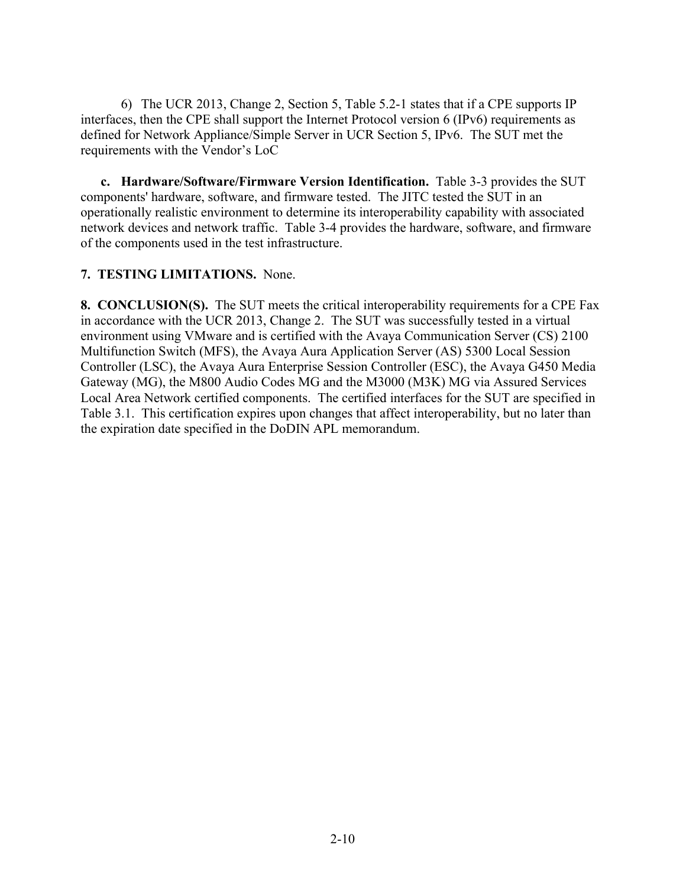6) The UCR 2013, Change 2, Section 5, Table 5.2-1 states that if a CPE supports IP interfaces, then the CPE shall support the Internet Protocol version 6 (IPv6) requirements as defined for Network Appliance/Simple Server in UCR Section 5, IPv6. The SUT met the requirements with the Vendor's LoC

**c. Hardware/Software/Firmware Version Identification.** Table 3-3 provides the SUT components' hardware, software, and firmware tested. The JITC tested the SUT in an operationally realistic environment to determine its interoperability capability with associated network devices and network traffic. Table 3-4 provides the hardware, software, and firmware of the components used in the test infrastructure.

### **7. TESTING LIMITATIONS.** None.

**8. CONCLUSION(S).** The SUT meets the critical interoperability requirements for a CPE Fax in accordance with the UCR 2013, Change 2. The SUT was successfully tested in a virtual environment using VMware and is certified with the Avaya Communication Server (CS) 2100 Multifunction Switch (MFS), the Avaya Aura Application Server (AS) 5300 Local Session Controller (LSC), the Avaya Aura Enterprise Session Controller (ESC), the Avaya G450 Media Gateway (MG), the M800 Audio Codes MG and the M3000 (M3K) MG via Assured Services Local Area Network certified components. The certified interfaces for the SUT are specified in Table 3.1. This certification expires upon changes that affect interoperability, but no later than the expiration date specified in the DoDIN APL memorandum.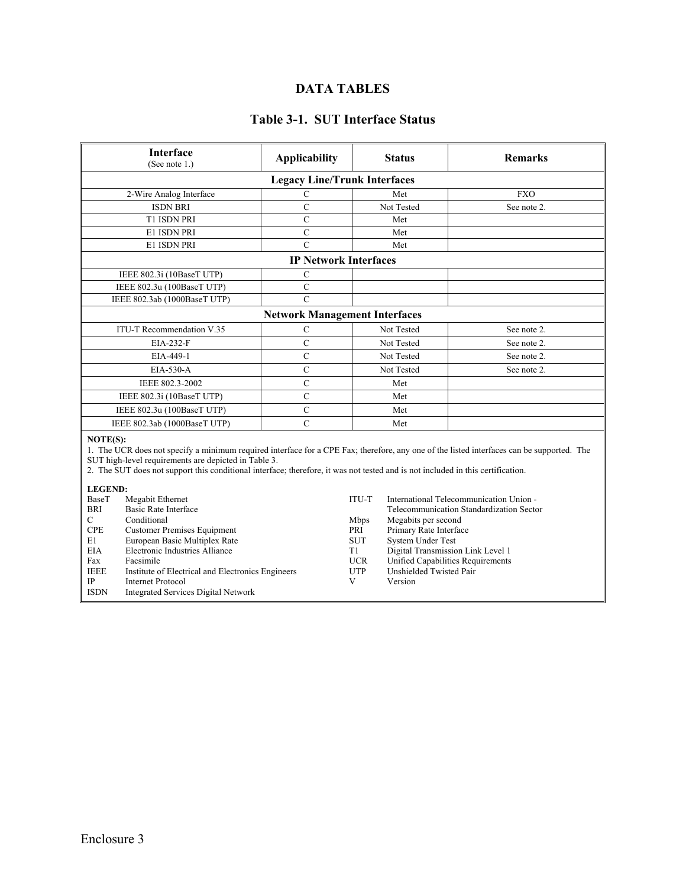# **DATA TABLES**

## **Table 3-1. SUT Interface Status**

| <b>Interface</b><br>(See note 1.)                                                                                                                                                                                                                                                                                                                | <b>Applicability</b>                 |                  | <b>Status</b>                                                          | <b>Remarks</b>                          |  |  |
|--------------------------------------------------------------------------------------------------------------------------------------------------------------------------------------------------------------------------------------------------------------------------------------------------------------------------------------------------|--------------------------------------|------------------|------------------------------------------------------------------------|-----------------------------------------|--|--|
| <b>Legacy Line/Trunk Interfaces</b>                                                                                                                                                                                                                                                                                                              |                                      |                  |                                                                        |                                         |  |  |
| 2-Wire Analog Interface                                                                                                                                                                                                                                                                                                                          | $\mathsf{C}$                         |                  | Met                                                                    | <b>FXO</b>                              |  |  |
| <b>ISDN BRI</b>                                                                                                                                                                                                                                                                                                                                  | $\mathbf C$                          |                  | Not Tested                                                             | See note 2.                             |  |  |
| T1 ISDN PRI                                                                                                                                                                                                                                                                                                                                      | $\mathbf C$                          |                  | Met                                                                    |                                         |  |  |
| E1 ISDN PRI                                                                                                                                                                                                                                                                                                                                      | $\overline{C}$                       |                  | Met                                                                    |                                         |  |  |
| E1 ISDN PRI                                                                                                                                                                                                                                                                                                                                      | $\overline{C}$                       |                  | Met                                                                    |                                         |  |  |
|                                                                                                                                                                                                                                                                                                                                                  | <b>IP Network Interfaces</b>         |                  |                                                                        |                                         |  |  |
| IEEE 802.3i (10BaseT UTP)                                                                                                                                                                                                                                                                                                                        | C                                    |                  |                                                                        |                                         |  |  |
| IEEE 802.3u (100BaseT UTP)                                                                                                                                                                                                                                                                                                                       | $\mathbf C$                          |                  |                                                                        |                                         |  |  |
| IEEE 802.3ab (1000BaseT UTP)                                                                                                                                                                                                                                                                                                                     | $\overline{C}$                       |                  |                                                                        |                                         |  |  |
|                                                                                                                                                                                                                                                                                                                                                  | <b>Network Management Interfaces</b> |                  |                                                                        |                                         |  |  |
| ITU-T Recommendation V.35                                                                                                                                                                                                                                                                                                                        | $\mathsf{C}$                         |                  | Not Tested                                                             | See note 2.                             |  |  |
| EIA-232-F                                                                                                                                                                                                                                                                                                                                        | $\mathbf C$                          |                  | Not Tested                                                             | See note 2.                             |  |  |
| EIA-449-1                                                                                                                                                                                                                                                                                                                                        | $\overline{C}$                       |                  | Not Tested                                                             | See note 2.                             |  |  |
| EIA-530-A                                                                                                                                                                                                                                                                                                                                        | $\overline{C}$                       |                  | Not Tested                                                             | See note 2.                             |  |  |
| IEEE 802.3-2002                                                                                                                                                                                                                                                                                                                                  | $\mathsf{C}$                         |                  | Met                                                                    |                                         |  |  |
| IEEE 802.3i (10BaseT UTP)                                                                                                                                                                                                                                                                                                                        | $\mathsf{C}$                         |                  | Met                                                                    |                                         |  |  |
| IEEE 802.3u (100BaseT UTP)                                                                                                                                                                                                                                                                                                                       | $\mathbf C$                          |                  | Met                                                                    |                                         |  |  |
| $\overline{C}$<br>IEEE 802.3ab (1000BaseT UTP)                                                                                                                                                                                                                                                                                                   |                                      |                  | Met                                                                    |                                         |  |  |
| NOTE(S):<br>1. The UCR does not specify a minimum required interface for a CPE Fax; therefore, any one of the listed interfaces can be supported. The<br>SUT high-level requirements are depicted in Table 3.<br>2. The SUT does not support this conditional interface; therefore, it was not tested and is not included in this certification. |                                      |                  |                                                                        |                                         |  |  |
| <b>LEGEND:</b><br>BaseT<br>Megabit Ethernet                                                                                                                                                                                                                                                                                                      |                                      | ITU-T            |                                                                        | International Telecommunication Union - |  |  |
| <b>Basic Rate Interface</b><br><b>BRI</b>                                                                                                                                                                                                                                                                                                        |                                      |                  | Telecommunication Standardization Sector                               |                                         |  |  |
| C<br>Conditional                                                                                                                                                                                                                                                                                                                                 |                                      | Mbps             | Megabits per second                                                    |                                         |  |  |
| <b>CPE</b><br><b>Customer Premises Equipment</b>                                                                                                                                                                                                                                                                                                 |                                      | PRI              | Primary Rate Interface                                                 |                                         |  |  |
| E1<br>European Basic Multiplex Rate                                                                                                                                                                                                                                                                                                              |                                      | <b>SUT</b>       | System Under Test                                                      |                                         |  |  |
| Electronic Industries Alliance<br><b>EIA</b><br>Facsimile<br>Fax                                                                                                                                                                                                                                                                                 |                                      | T1<br><b>UCR</b> | Digital Transmission Link Level 1<br>Unified Capabilities Requirements |                                         |  |  |
| <b>IEEE</b><br>Institute of Electrical and Electronics Engineers                                                                                                                                                                                                                                                                                 |                                      | <b>UTP</b>       | Unshielded Twisted Pair                                                |                                         |  |  |
| IP<br><b>Internet Protocol</b>                                                                                                                                                                                                                                                                                                                   |                                      | V                | Version                                                                |                                         |  |  |
| <b>ISDN</b><br><b>Integrated Services Digital Network</b>                                                                                                                                                                                                                                                                                        |                                      |                  |                                                                        |                                         |  |  |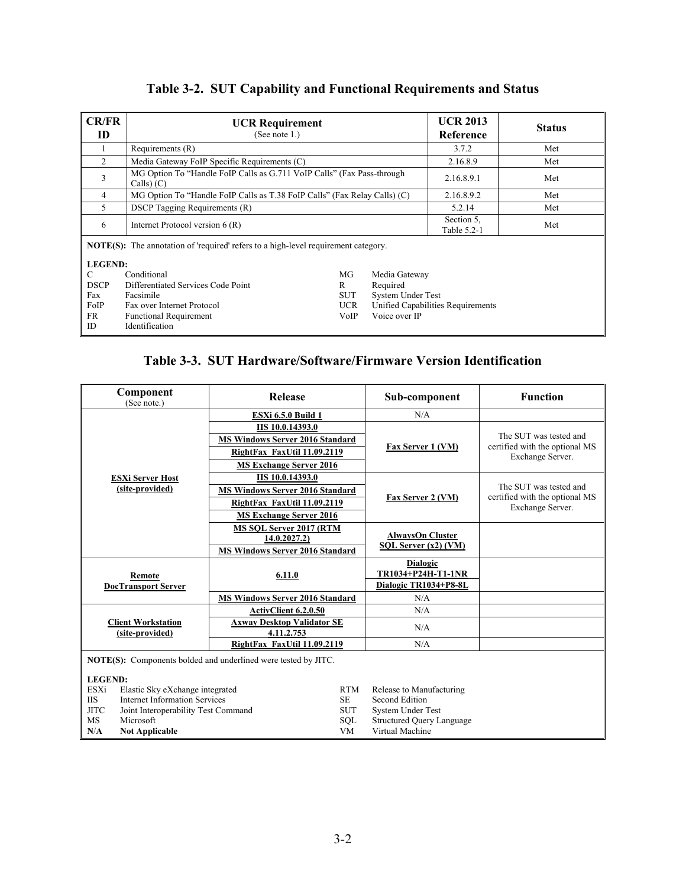# **Table 3-2. SUT Capability and Functional Requirements and Status**

| CR/FR<br>ID                                                                                                                                            | <b>UCR Requirement</b><br>(See note 1.)                                                                                                                              |  |                                   | <b>UCR 2013</b><br>Reference | <b>Status</b> |  |
|--------------------------------------------------------------------------------------------------------------------------------------------------------|----------------------------------------------------------------------------------------------------------------------------------------------------------------------|--|-----------------------------------|------------------------------|---------------|--|
|                                                                                                                                                        | Requirements (R)                                                                                                                                                     |  |                                   | 3.7.2                        | Met           |  |
| 2                                                                                                                                                      | Media Gateway FoIP Specific Requirements (C)                                                                                                                         |  |                                   | 2.16.8.9                     | Met           |  |
| 3                                                                                                                                                      | MG Option To "Handle FoIP Calls as G.711 VoIP Calls" (Fax Pass-through<br>Calls(C)                                                                                   |  |                                   | 2.16.8.9.1                   | Met           |  |
| 4                                                                                                                                                      | MG Option To "Handle FoIP Calls as T.38 FoIP Calls" (Fax Relay Calls) (C)                                                                                            |  |                                   | 2.16.8.9.2                   | Met           |  |
| 5                                                                                                                                                      | <b>DSCP</b> Tagging Requirements (R)                                                                                                                                 |  |                                   | 5.2.14                       | Met           |  |
| 6                                                                                                                                                      | Internet Protocol version 6 (R)                                                                                                                                      |  |                                   | Section 5,<br>Table 5.2-1    | Met           |  |
| <b>NOTE(S):</b> The annotation of 'required' refers to a high-level requirement category.<br><b>LEGEND:</b><br>Conditional<br>MG<br>С<br>Media Gateway |                                                                                                                                                                      |  |                                   |                              |               |  |
| <b>DSCP</b>                                                                                                                                            | Differentiated Services Code Point<br>Required<br>R                                                                                                                  |  |                                   |                              |               |  |
| Fax<br>FoIP<br><b>FR</b><br>ID                                                                                                                         | System Under Test<br>Facsimile<br>SUT<br>Fax over Internet Protocol<br><b>UCR</b><br>Voice over IP<br><b>VoIP</b><br><b>Functional Requirement</b><br>Identification |  | Unified Capabilities Requirements |                              |               |  |

# **Table 3-3. SUT Hardware/Software/Firmware Version Identification**

| Component<br>(See note.)                                              | <b>Release</b>                                  |                                        | Sub-component                         | <b>Function</b>                                    |  |
|-----------------------------------------------------------------------|-------------------------------------------------|----------------------------------------|---------------------------------------|----------------------------------------------------|--|
|                                                                       | <b>ESXi 6.5.0 Build 1</b>                       |                                        | N/A                                   |                                                    |  |
|                                                                       | <b>IIS 10.0.14393.0</b>                         |                                        |                                       |                                                    |  |
|                                                                       |                                                 | <b>MS Windows Server 2016 Standard</b> |                                       | The SUT was tested and                             |  |
|                                                                       | RightFax FaxUtil 11.09.2119                     |                                        | Fax Server 1 (VM)                     | certified with the optional MS<br>Exchange Server. |  |
|                                                                       | <b>MS Exchange Server 2016</b>                  |                                        |                                       |                                                    |  |
| <b>ESXi Server Host</b>                                               | <b>IIS 10.0.14393.0</b>                         |                                        |                                       |                                                    |  |
| (site-provided)                                                       | <b>MS Windows Server 2016 Standard</b>          |                                        |                                       | The SUT was tested and                             |  |
|                                                                       | RightFax FaxUtil 11.09.2119                     |                                        | Fax Server 2 (VM)                     | certified with the optional MS<br>Exchange Server. |  |
|                                                                       | <b>MS Exchange Server 2016</b>                  |                                        |                                       |                                                    |  |
|                                                                       | MS SOL Server 2017 (RTM                         |                                        | <b>AlwaysOn Cluster</b>               |                                                    |  |
|                                                                       | 14.0.2027.2)                                    |                                        | SQL Server (x2) (VM)                  |                                                    |  |
|                                                                       | <b>MS Windows Server 2016 Standard</b>          |                                        |                                       |                                                    |  |
|                                                                       | 6.11.0                                          |                                        | <b>Dialogic</b><br>TR1034+P24H-T1-1NR |                                                    |  |
| Remote<br><b>DocTransport Server</b>                                  |                                                 |                                        | Dialogic TR1034+P8-8L                 |                                                    |  |
|                                                                       | <b>MS Windows Server 2016 Standard</b>          |                                        | N/A                                   |                                                    |  |
|                                                                       | <b>ActivClient 6.2.0.50</b>                     |                                        | N/A                                   |                                                    |  |
| <b>Client Workstation</b><br>(site-provided)                          | <b>Axway Desktop Validator SE</b><br>4.11.2.753 |                                        | N/A                                   |                                                    |  |
|                                                                       | RightFax FaxUtil 11.09.2119                     |                                        | N/A                                   |                                                    |  |
| <b>NOTE(S):</b> Components bolded and underlined were tested by JITC. |                                                 |                                        |                                       |                                                    |  |
| <b>LEGEND:</b>                                                        |                                                 |                                        |                                       |                                                    |  |
| <b>ESXi</b><br>Elastic Sky eXchange integrated                        |                                                 | <b>RTM</b>                             | Release to Manufacturing              |                                                    |  |
| <b>IIS</b><br><b>Internet Information Services</b><br>SE.             |                                                 | Second Edition                         |                                       |                                                    |  |
| <b>JITC</b><br><b>SUT</b><br>Joint Interoperability Test Command      |                                                 | System Under Test                      |                                       |                                                    |  |
| MS<br>Microsoft                                                       |                                                 | SQL                                    | <b>Structured Query Language</b>      |                                                    |  |
| N/A<br><b>Not Applicable</b>                                          |                                                 | <b>VM</b>                              | Virtual Machine                       |                                                    |  |